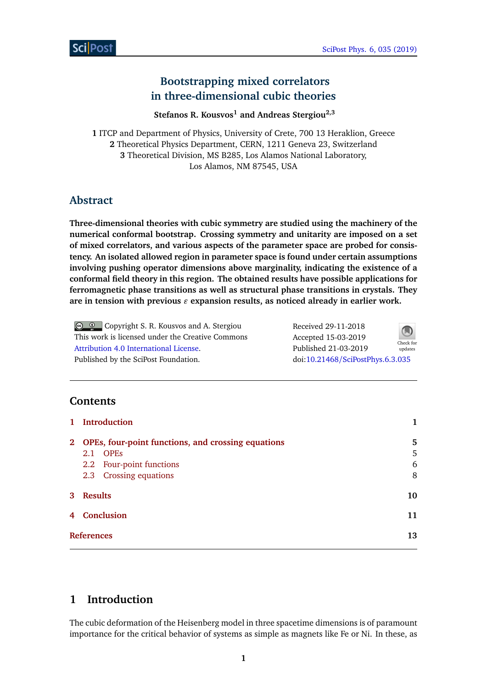# **Bootstrapping mixed correlators in three-dimensional cubic theories**

**Stefanos R. Kousvos<sup>1</sup> and Andreas Stergiou2,3**

 ITCP and Department of Physics, University of Crete, 700 13 Heraklion, Greece Theoretical Physics Department, CERN, 1211 Geneva 23, Switzerland Theoretical Division, MS B285, Los Alamos National Laboratory, Los Alamos, NM 87545, USA

# **Abstract**

**Three-dimensional theories with cubic symmetry are studied using the machinery of the numerical conformal bootstrap. Crossing symmetry and unitarity are imposed on a set of mixed correlators, and various aspects of the parameter space are probed for consistency. An isolated allowed region in parameter space is found under certain assumptions involving pushing operator dimensions above marginality, indicating the existence of a conformal field theory in this region. The obtained results have possible applications for ferromagnetic phase transitions as well as structural phase transitions in crystals. They** are in tension with previous  $\varepsilon$  expansion results, as noticed already in earlier work.

Copyright S. R. Kousvos and A. Stergiou This work is licensed under the Creative Commons [Attribution 4.0 International License.](http://creativecommons.org/licenses/by/4.0/) Published by the SciPost Foundation.

| Received 29-11-2018              | Check for<br>updates |
|----------------------------------|----------------------|
| Accepted 15-03-2019              |                      |
| Published 21-03-2019             |                      |
| doi:10.21468/SciPostPhys.6.3.035 |                      |

# **Contents**

|                | 1 Introduction                                                                                                                 |                  |
|----------------|--------------------------------------------------------------------------------------------------------------------------------|------------------|
| 2 <sub>1</sub> | OPEs, four-point functions, and crossing equations<br><b>OPEs</b><br>2.1<br>2.2 Four-point functions<br>2.3 Crossing equations | 5<br>5<br>6<br>8 |
| 3 <sup>1</sup> | <b>Results</b>                                                                                                                 | 10               |
|                | 4 Conclusion                                                                                                                   | 11               |
|                | <b>References</b>                                                                                                              | 13               |

# <span id="page-0-0"></span>**1 Introduction**

The cubic deformation of the Heisenberg model in three spacetime dimensions is of paramount importance for the critical behavior of systems as simple as magnets like Fe or Ni. In these, as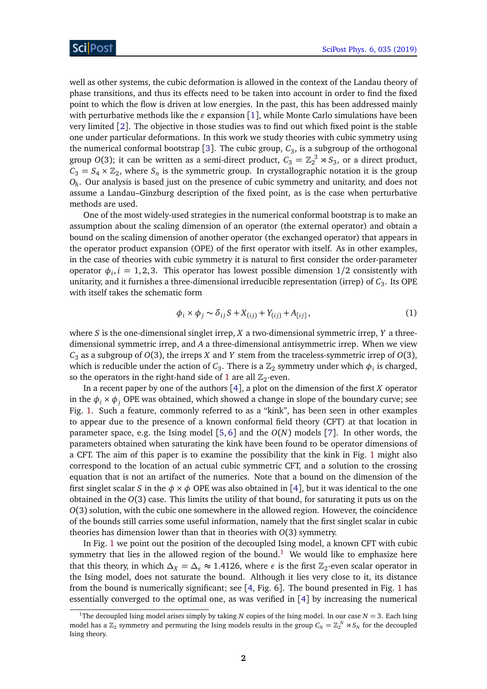well as other systems, the cubic deformation is allowed in the context of the Landau theory of phase transitions, and thus its effects need to be taken into account in order to find the fixed point to which the flow is driven at low energies. In the past, this has been addressed mainly with perturbative methods like the  $\varepsilon$  expansion [[1](#page-12-0)], while Monte Carlo simulations have been very limited [[2](#page-12-1)]. The objective in those studies was to find out which fixed point is the stable one under particular deformations. In this work we study theories with cubic symmetry using the numerical conformal bootstrap [[3](#page-13-0)]. The cubic group,  $C_3$ , is a subgroup of the orthogonal group *O*(3); it can be written as a semi-direct product,  $C_3 = \mathbb{Z}_2^3 \rtimes S_3$ , or a direct product,  $C_3 = S_4 \times \mathbb{Z}_2$ , where  $S_n$  is the symmetric group. In crystallographic notation it is the group *Oh* . Our analysis is based just on the presence of cubic symmetry and unitarity, and does not assume a Landau–Ginzburg description of the fixed point, as is the case when perturbative methods are used.

One of the most widely-used strategies in the numerical conformal bootstrap is to make an assumption about the scaling dimension of an operator (the external operator) and obtain a bound on the scaling dimension of another operator (the exchanged operator) that appears in the operator product expansion (OPE) of the first operator with itself. As in other examples, in the case of theories with cubic symmetry it is natural to first consider the order-parameter operator  $\phi_i$ ,  $i = 1, 2, 3$ . This operator has lowest possible dimension  $1/2$  consistently with unitarity, and it furnishes a three-dimensional irreducible representation (irrep) of  $\mathit{C}_{3}.$  Its OPE with itself takes the schematic form

<span id="page-1-0"></span>
$$
\phi_i \times \phi_j \sim \delta_{ij} S + X_{(ij)} + Y_{(ij)} + A_{[ij]}, \qquad (1)
$$

where *S* is the one-dimensional singlet irrep, *X* a two-dimensional symmetric irrep, *Y* a threedimensional symmetric irrep, and *A* a three-dimensional antisymmetric irrep. When we view *C*<sup>3</sup> as a subgroup of *O*(3), the irreps *X* and *Y* stem from the traceless-symmetric irrep of *O*(3), which is reducible under the action of  $C_3$ . There is a  $\mathbb{Z}_2$  symmetry under which  $\phi_i$  is charged, so the operators in the right-hand side of [1](#page-1-0) are all  $\mathbb{Z}_2$ -even.

In a recent paper by one of the authors [[4](#page-13-1)], a plot on the dimension of the first *X* operator in the  $\phi_i \times \phi_j$  OPE was obtained, which showed a change in slope of the boundary curve; see Fig. [1.](#page-2-0) Such a feature, commonly referred to as a "kink", has been seen in other examples to appear due to the presence of a known conformal field theory (CFT) at that location in parameter space, e.g. the Ising model [[5,](#page-13-2) [6](#page-13-3)] and the *O*(*N*) models [[7](#page-13-4)]. In other words, the parameters obtained when saturating the kink have been found to be operator dimensions of a CFT. The aim of this paper is to examine the possibility that the kink in Fig. [1](#page-2-0) might also correspond to the location of an actual cubic symmetric CFT, and a solution to the crossing equation that is not an artifact of the numerics. Note that a bound on the dimension of the first singlet scalar *S* in the  $\phi \times \phi$  OPE was also obtained in [[4](#page-13-1)], but it was identical to the one obtained in the *O*(3) case. This limits the utility of that bound, for saturating it puts us on the *O*(3) solution, with the cubic one somewhere in the allowed region. However, the coincidence of the bounds still carries some useful information, namely that the first singlet scalar in cubic theories has dimension lower than that in theories with *O*(3) symmetry.

In Fig. [1](#page-2-0) we point out the position of the decoupled Ising model, a known CFT with cubic symmetry that lies in the allowed region of the bound.<sup>[1](#page-1-1)</sup> We would like to emphasize here that this theory, in which  $\Delta_X = \Delta_\epsilon \approx 1.4126$ , where  $\epsilon$  is the first  $\mathbb{Z}_2$ -even scalar operator in the Ising model, does not saturate the bound. Although it lies very close to it, its distance from the bound is numerically significant; see  $[4, Fig. 6]$  $[4, Fig. 6]$  $[4, Fig. 6]$ . The bound presented in Fig. [1](#page-2-0) has essentially converged to the optimal one, as was verified in [[4](#page-13-1)] by increasing the numerical

<span id="page-1-1"></span><sup>&</sup>lt;sup>1</sup>The decoupled Ising model arises simply by taking *N* copies of the Ising model. In our case  $N = 3$ . Each Ising model has a  $\mathbb{Z}_2$  symmetry and permuting the Ising models results in the group  $C_N = \mathbb{Z}_2^N \rtimes S_N$  for the decoupled Ising theory.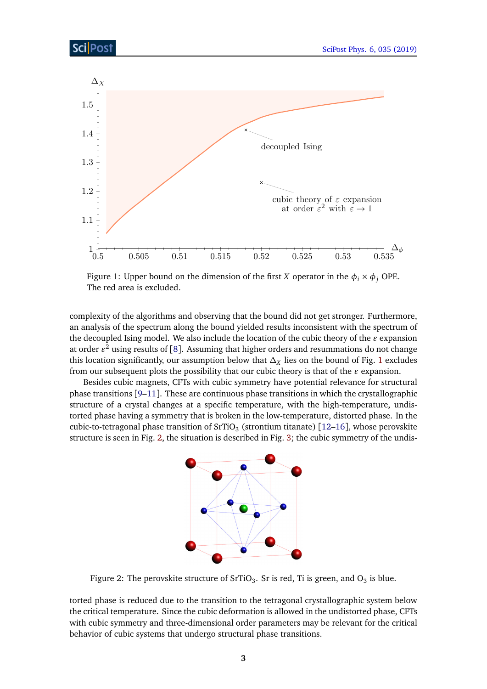<span id="page-2-0"></span>

Figure 1: Upper bound on the dimension of the first *X* operator in the  $\phi_i \times \phi_j$  OPE. The red area is excluded.

complexity of the algorithms and observing that the bound did not get stronger. Furthermore, an analysis of the spectrum along the bound yielded results inconsistent with the spectrum of the decoupled Ising model. We also include the location of the cubic theory of the  $\varepsilon$  expansion at order  $\varepsilon^2$  using results of [[8](#page-13-5)]. Assuming that higher orders and resummations do not change this location significantly, our assumption below that  $\Delta_X$  lies on the bound of Fig. [1](#page-2-0) excludes from our subsequent plots the possibility that our cubic theory is that of the  $\varepsilon$  expansion.

<span id="page-2-1"></span>Besides cubic magnets, CFTs with cubic symmetry have potential relevance for structural phase transitions [[9–](#page-13-6)[11](#page-13-7)]. These are continuous phase transitions in which the crystallographic structure of a crystal changes at a specific temperature, with the high-temperature, undistorted phase having a symmetry that is broken in the low-temperature, distorted phase. In the cubic-to-tetragonal phase transition of SrTiO $_3$  (strontium titanate) [[12](#page-13-8)[–16](#page-13-9)], whose perovskite structure is seen in Fig. [2,](#page-2-1) the situation is described in Fig. [3;](#page-3-0) the cubic symmetry of the undis-



Figure 2: The perovskite structure of SrTiO $_3$ . Sr is red, Ti is green, and O $_3$  is blue.

torted phase is reduced due to the transition to the tetragonal crystallographic system below the critical temperature. Since the cubic deformation is allowed in the undistorted phase, CFTs with cubic symmetry and three-dimensional order parameters may be relevant for the critical behavior of cubic systems that undergo structural phase transitions.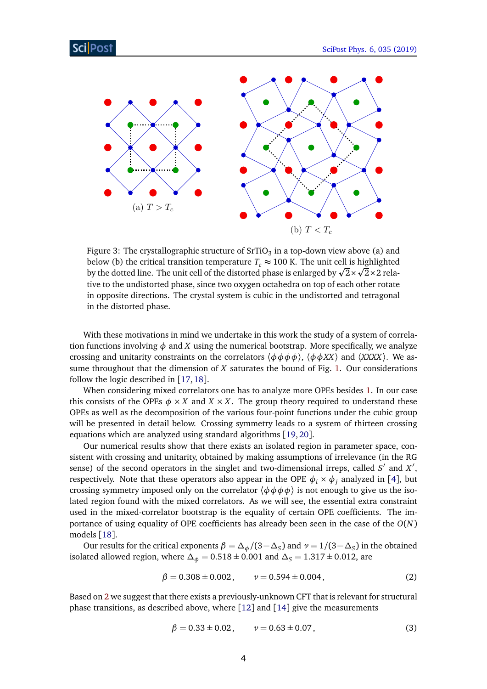<span id="page-3-0"></span>

Figure 3: The crystallographic structure of SrTiO $_3$  in a top-down view above (a) and below (b) the critical transition temperature  $T_c \approx 100$  K. The unit cell is highlighted below (b) the critical transition temperature  $T_c \approx 100$  K. The unit cell is highlighted<br>by the dotted line. The unit cell of the distorted phase is enlarged by  $\sqrt{2} \times \sqrt{2} \times 2$  relative to the undistorted phase, since two oxygen octahedra on top of each other rotate in opposite directions. The crystal system is cubic in the undistorted and tetragonal in the distorted phase.

With these motivations in mind we undertake in this work the study of a system of correlation functions involving  $\phi$  and *X* using the numerical bootstrap. More specifically, we analyze crossing and unitarity constraints on the correlators  $\langle \phi \phi \phi \phi \rangle$ ,  $\langle \phi \phi X X \rangle$  and  $\langle XXX \rangle$ . We assume throughout that the dimension of *X* saturates the bound of Fig. [1.](#page-2-0) Our considerations follow the logic described in [[17,](#page-13-10)[18](#page-13-11)].

When considering mixed correlators one has to analyze more OPEs besides [1.](#page-1-0) In our case this consists of the OPEs  $\phi \times X$  and  $X \times X$ . The group theory required to understand these OPEs as well as the decomposition of the various four-point functions under the cubic group will be presented in detail below. Crossing symmetry leads to a system of thirteen crossing equations which are analyzed using standard algorithms [[19,](#page-14-0)[20](#page-14-1)].

Our numerical results show that there exists an isolated region in parameter space, consistent with crossing and unitarity, obtained by making assumptions of irrelevance (in the RG sense) of the second operators in the singlet and two-dimensional irreps, called  $S'$  and  $X'$ , respectively. Note that these operators also appear in the OPE  $\phi_i \times \phi_j$  analyzed in [[4](#page-13-1)], but crossing symmetry imposed only on the correlator  $\langle \phi \phi \phi \phi \rangle$  is not enough to give us the isolated region found with the mixed correlators. As we will see, the essential extra constraint used in the mixed-correlator bootstrap is the equality of certain OPE coefficients. The importance of using equality of OPE coefficients has already been seen in the case of the *O*(*N*) models [[18](#page-13-11)].

Our results for the critical exponents  $\beta = \frac{\Delta_{\phi}}{3 - \Delta_{S}}$  and  $\nu = \frac{1}{3 - \Delta_{S}}$  in the obtained isolated allowed region, where  $\Delta_{\phi} = 0.518 \pm 0.001$  and  $\Delta_{S} = 1.317 \pm 0.012$ , are

$$
\beta = 0.308 \pm 0.002, \qquad \nu = 0.594 \pm 0.004, \tag{2}
$$

Based on [2](#page-3-1) we suggest that there exists a previously-unknown CFT that is relevant for structural phase transitions, as described above, where [[12](#page-13-8)] and [[14](#page-13-12)] give the measurements

<span id="page-3-2"></span><span id="page-3-1"></span>
$$
\beta = 0.33 \pm 0.02, \qquad \nu = 0.63 \pm 0.07, \tag{3}
$$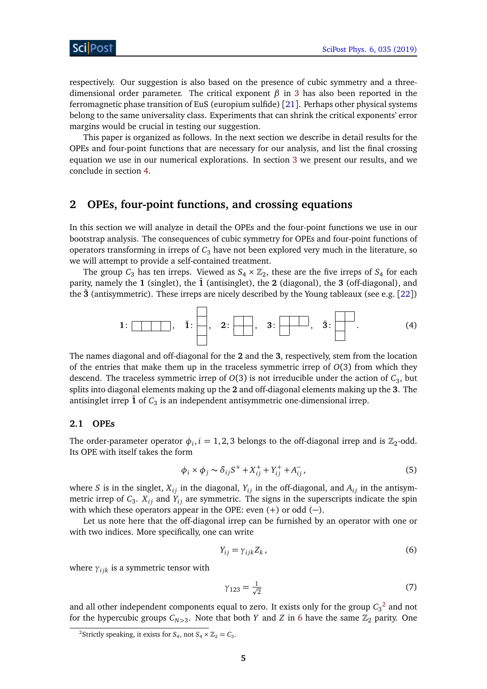respectively. Our suggestion is also based on the presence of cubic symmetry and a threedimensional order parameter. The critical exponent *β* in [3](#page-3-2) has also been reported in the ferromagnetic phase transition of EuS (europium sulfide) [[21](#page-14-2)]. Perhaps other physical systems belong to the same universality class. Experiments that can shrink the critical exponents' error margins would be crucial in testing our suggestion.

This paper is organized as follows. In the next section we describe in detail results for the OPEs and four-point functions that are necessary for our analysis, and list the final crossing equation we use in our numerical explorations. In section [3](#page-9-0) we present our results, and we conclude in section [4.](#page-10-0)

## <span id="page-4-0"></span>**2 OPEs, four-point functions, and crossing equations**

In this section we will analyze in detail the OPEs and the four-point functions we use in our bootstrap analysis. The consequences of cubic symmetry for OPEs and four-point functions of operators transforming in irreps of  $C_3$  have not been explored very much in the literature, so we will attempt to provide a self-contained treatment.

The group  $C_3$  has ten irreps. Viewed as  $S_4 \times \mathbb{Z}_2$ , these are the five irreps of  $S_4$  for each parity, namely the  $1$  (singlet), the  $\overline{1}$  (antisinglet), the  $2$  (diagonal), the  $3$  (off-diagonal), and the  $\bar{3}$  (antisymmetric). These irreps are nicely described by the Young tableaux (see e.g. [[22](#page-14-3)])

$$
1: \boxed{\qquad \qquad}, \quad \bar{1}: \boxed{\qquad \qquad}, \quad 2: \boxed{\qquad \qquad}, \quad 3: \boxed{\qquad \qquad}, \quad \bar{3}: \boxed{\qquad \qquad}}.
$$

The names diagonal and off-diagonal for the **2** and the **3**, respectively, stem from the location of the entries that make them up in the traceless symmetric irrep of *O*(3) from which they descend. The traceless symmetric irrep of *O*(3) is not irreducible under the action of *C*<sup>3</sup> , but splits into diagonal elements making up the **2** and off-diagonal elements making up the **3**. The antisinglet irrep  $\bar{\mathbf{1}}$  of  $C_3$  is an independent antisymmetric one-dimensional irrep.

#### <span id="page-4-1"></span>**2.1 OPEs**

The order-parameter operator  $\phi_i$ ,  $i = 1, 2, 3$  belongs to the off-diagonal irrep and is  $\mathbb{Z}_2$ -odd. Its OPE with itself takes the form

$$
\phi_i \times \phi_j \sim \delta_{ij} S^+ + X_{ij}^+ + Y_{ij}^+ + A_{ij}^-,
$$
\n(5)

where *S* is in the singlet,  $X_{ij}$  in the diagonal,  $Y_{ij}$  in the off-diagonal, and  $A_{ij}$  in the antisymmetric irrep of  $C_3$ .  $X_{ij}$  and  $Y_{ij}$  are symmetric. The signs in the superscripts indicate the spin with which these operators appear in the OPE: even  $(+)$  or odd  $(-)$ .

Let us note here that the off-diagonal irrep can be furnished by an operator with one or with two indices. More specifically, one can write

<span id="page-4-4"></span>
$$
Y_{ij} = \gamma_{ijk} Z_k, \qquad (6)
$$

where  $\gamma_{ijk}$  is a symmetric tensor with

<span id="page-4-3"></span>
$$
\gamma_{123} = \frac{1}{\sqrt{2}}\tag{7}
$$

and all other independent components equal to zero. It exists only for the group  $C_3^2$  $C_3^2$  and not for the hypercubic groups  $C_{N>3}$ . Note that both *Y* and *Z* in [6](#page-4-3) have the same  $\mathbb{Z}_2$  parity. One

<span id="page-4-2"></span><sup>&</sup>lt;sup>2</sup>Strictly speaking, it exists for  $S_4$ , not  $S_4 \times \mathbb{Z}_2 = C_3$ .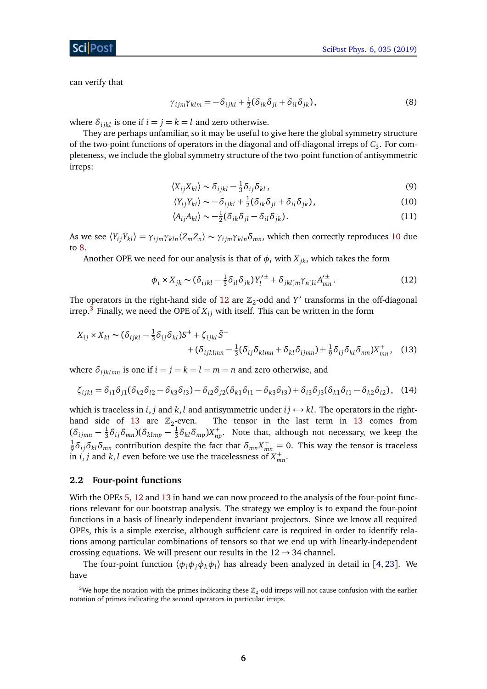can verify that

<span id="page-5-2"></span>
$$
\gamma_{ijm}\gamma_{klm} = -\delta_{ijkl} + \frac{1}{2}(\delta_{ik}\delta_{jl} + \delta_{il}\delta_{jk}),
$$
\n(8)

where  $\delta_{i j k l}$  is one if  $i = j = k = l$  and zero otherwise.

They are perhaps unfamiliar, so it may be useful to give here the global symmetry structure of the two-point functions of operators in the diagonal and off-diagonal irreps of  $C_3$ . For completeness, we include the global symmetry structure of the two-point function of antisymmetric irreps:

$$
\langle X_{ij} X_{kl} \rangle \sim \delta_{ijkl} - \frac{1}{3} \delta_{ij} \delta_{kl} \,, \tag{9}
$$

<span id="page-5-1"></span>
$$
\langle Y_{ij} Y_{kl} \rangle \sim -\delta_{ijkl} + \frac{1}{2} (\delta_{ik} \delta_{jl} + \delta_{il} \delta_{jk}), \qquad (10)
$$

<span id="page-5-3"></span>
$$
\langle A_{ij} A_{kl} \rangle \sim -\frac{1}{2} (\delta_{ik} \delta_{jl} - \delta_{il} \delta_{jk}). \tag{11}
$$

As we see  $\langle Y_{ij} Y_{kl}\rangle = \gamma_{ijm} \gamma_{kln} \langle Z_m Z_n \rangle \sim \gamma_{ijm} \gamma_{kln} \delta_{mn}$ , which then correctly reproduces [10](#page-5-1) due to [8.](#page-5-2)

Another OPE we need for our analysis is that of  $\phi_i$  with  $X_{ik}$ , which takes the form

<span id="page-5-5"></span>
$$
\phi_i \times X_{jk} \sim (\delta_{ijkl} - \frac{1}{3} \delta_{il} \delta_{jk}) Y_l^{\prime \pm} + \delta_{jkl[m} \gamma_{n]li} A_{mn}^{\prime \pm}.
$$
 (12)

The operators in the right-hand side of [12](#page-5-3) are  $\mathbb{Z}_2$ -odd and  $Y'$  transforms in the off-diagonal irrep.<sup>[3](#page-5-4)</sup> Finally, we need the OPE of  $X_{ij}$  with itself. This can be written in the form

$$
X_{ij} \times X_{kl} \sim (\delta_{ijkl} - \frac{1}{3}\delta_{ij}\delta_{kl})S^{+} + \zeta_{ijkl}\bar{S}^{-} + (\delta_{ijklmn} - \frac{1}{3}(\delta_{ij}\delta_{klmn} + \delta_{kl}\delta_{ijmn}) + \frac{1}{9}\delta_{ij}\delta_{kl}\delta_{mn})X^{+}_{mn},
$$
 (13)

where  $\delta_{ijklmn}$  is one if  $i = j = k = l = m = n$  and zero otherwise, and

$$
\zeta_{ijkl} = \delta_{i1}\delta_{j1}(\delta_{k2}\delta_{l2} - \delta_{k3}\delta_{l3}) - \delta_{i2}\delta_{j2}(\delta_{k1}\delta_{l1} - \delta_{k3}\delta_{l3}) + \delta_{i3}\delta_{j3}(\delta_{k1}\delta_{l1} - \delta_{k2}\delta_{l2}),
$$
 (14)

which is traceless in *i*, *j* and *k*, *l* and antisymmetric under  $i j \leftrightarrow kl$ . The operators in the right-hand side of [13](#page-5-5) are  $\mathbb{Z}_2$ -even. The tensor in the last term in [13](#page-5-5) comes from  $(\delta_{ijmn}-\frac{1}{3}% )^{2}/\gamma_{i}\geq0$  $\frac{1}{3}\delta_{ij}\delta_{mn}$ )( $\delta_{klmp} - \frac{1}{3}$  $\frac{1}{3}\delta_{kl}\delta_{mp}$ ) $X^+_{np}$ . Note that, although not necessary, we keep the 1  $\frac{1}{9}$ δ<sub>*i*j</sub>δ<sub>kl</sub>δ<sub>*mn*</sub> contribution despite the fact that  $\delta_{mn}X^+_{mn}=0$ . This way the tensor is traceless in *i*, *j* and *k*, *l* even before we use the tracelessness of  $X_{mn}^+$ .

#### <span id="page-5-0"></span>**2.2 Four-point functions**

With the OPEs [5,](#page-4-4) [12](#page-5-3) and [13](#page-5-5) in hand we can now proceed to the analysis of the four-point functions relevant for our bootstrap analysis. The strategy we employ is to expand the four-point functions in a basis of linearly independent invariant projectors. Since we know all required OPEs, this is a simple exercise, although sufficient care is required in order to identify relations among particular combinations of tensors so that we end up with linearly-independent crossing equations. We will present our results in the  $12 \rightarrow 34$  channel.

The four-point function 〈*φiφjφkφ<sup>l</sup>* 〉 has already been analyzed in detail in [[4,](#page-13-1) [23](#page-14-4)]. We have

<span id="page-5-4"></span><sup>&</sup>lt;sup>3</sup>We hope the notation with the primes indicating these  $\mathbb{Z}_2$ -odd irreps will not cause confusion with the earlier notation of primes indicating the second operators in particular irreps.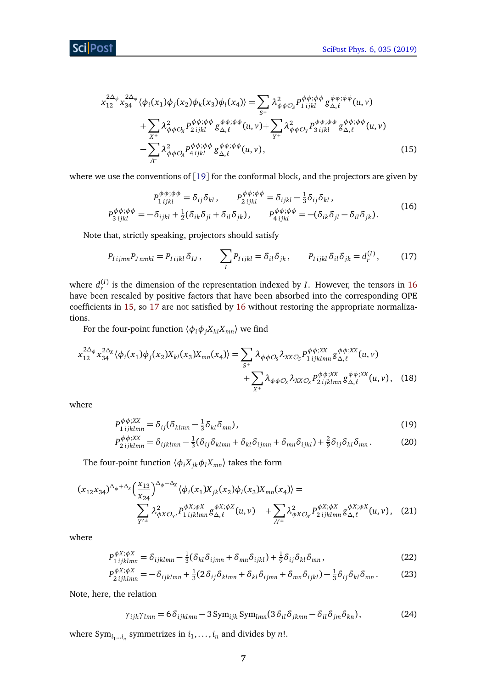$$
x_{12}^{2\Delta_{\phi}} x_{34}^{2\Delta_{\phi}} \langle \phi_i(x_1) \phi_j(x_2) \phi_k(x_3) \phi_l(x_4) \rangle = \sum_{S^+} \lambda_{\phi \phi C_S}^2 P_{1ijkl}^{\phi \phi; \phi \phi} g_{\Delta, \ell}^{\phi \phi; \phi \phi} (u, v)
$$
  
+ 
$$
\sum_{X^+} \lambda_{\phi \phi C_X}^2 P_{2ijkl}^{\phi \phi; \phi \phi} g_{\Delta, \ell}^{\phi \phi; \phi \phi} (u, v) + \sum_{Y^+} \lambda_{\phi \phi C_Y}^2 P_{3ijkl}^{\phi \phi; \phi \phi} g_{\Delta, \ell}^{\phi \phi; \phi \phi} (u, v)
$$
  
- 
$$
\sum_{A} \lambda_{\phi \phi C_A}^2 P_{4ijkl}^{\phi \phi; \phi \phi} g_{\Delta, \ell}^{\phi \phi; \phi \phi} (u, v),
$$
(15)

where we use the conventions of [[19](#page-14-0)] for the conformal block, and the projectors are given by

<span id="page-6-1"></span><span id="page-6-0"></span>
$$
P_{1\,ijkl}^{\phi\phi;\phi\phi} = \delta_{ij}\delta_{kl}, \qquad P_{2\,ijkl}^{\phi\phi;\phi\phi} = \delta_{ijkl} - \frac{1}{3}\delta_{ij}\delta_{kl},
$$
  
\n
$$
P_{3\,ijkl}^{\phi\phi;\phi\phi} = -\delta_{ijkl} + \frac{1}{2}(\delta_{ik}\delta_{jl} + \delta_{il}\delta_{jk}), \qquad P_{4\,ijkl}^{\phi\phi;\phi\phi} = -(\delta_{ik}\delta_{jl} - \delta_{il}\delta_{jk}).
$$
\n(16)

Note that, strictly speaking, projectors should satisfy

<span id="page-6-2"></span>
$$
P_{Iijmn}P_{Jnmkl} = P_{Iijkl}\delta_{IJ}, \qquad \sum_{I} P_{Iijkl} = \delta_{il}\delta_{jk}, \qquad P_{Iijkl}\delta_{il}\delta_{jk} = d_r^{(I)}, \qquad (17)
$$

where  $d_r^{(I)}$  is the dimension of the representation indexed by *I*. However, the tensors in [16](#page-6-0) have been rescaled by positive factors that have been absorbed into the corresponding OPE coefficients in [15,](#page-6-1) so [17](#page-6-2) are not satisfied by [16](#page-6-0) without restoring the appropriate normalizations.

For the four-point function  $\langle \phi_i \phi_j X_{kl} X_{mn} \rangle$  we find

$$
x_{12}^{2\Delta_{\phi}} x_{34}^{2\Delta_{\chi}} \langle \phi_i(x_1) \phi_j(x_2) X_{kl}(x_3) X_{mn}(x_4) \rangle = \sum_{S^+} \lambda_{\phi \phi \mathcal{O}_S} \lambda_{XX\mathcal{O}_S} P_{1\,ijklmn}^{\phi \phi;XX} g_{\Delta,\ell}^{\phi \phi;XX}(u,v) + \sum_{X^+} \lambda_{\phi \phi \mathcal{O}_X} \lambda_{XX\mathcal{O}_X} P_{2\,ijklmn}^{\phi \phi;XX} g_{\Delta,\ell}^{\phi \phi;XX}(u,v), \quad (18)
$$

where

$$
P_{1\,ijklmn}^{\phi\phi;XX} = \delta_{ij} (\delta_{klmn} - \frac{1}{3} \delta_{kl} \delta_{mn}), \qquad (19)
$$

$$
P_{2\,ijklmn}^{\phi\phi;XX} = \delta_{ijklmn} - \frac{1}{3} (\delta_{ij}\delta_{klmn} + \delta_{kl}\delta_{ijmn} + \delta_{mn}\delta_{ijkl}) + \frac{2}{9} \delta_{ij}\delta_{kl}\delta_{mn}.
$$
 (20)

The four-point function  $\langle \phi_i X_{jk} \phi_l X_{mn} \rangle$  takes the form

$$
(x_{12}x_{34})^{\Delta_{\phi}+\Delta_{X}}\left(\frac{x_{13}}{x_{24}}\right)^{\Delta_{\phi}-\Delta_{X}}\langle\phi_{i}(x_{1})X_{jk}(x_{2})\phi_{l}(x_{3})X_{mn}(x_{4})\rangle =\n\sum_{Y'^{\pm}}\lambda_{\phi X\mathcal{O}_{Y'}}^{2}P_{1\,ijklmn}^{\phi X;\phi X}\,\mathcal{S}_{\Delta,\ell}^{\phi X;\phi X}(u,v)\n+ \sum_{A'^{\pm}}\lambda_{\phi X\mathcal{O}_{A'}}^{2}P_{2\,ijklmn}^{\phi X;\phi X}\,\mathcal{S}_{\Delta,\ell}^{\phi X;\phi X}(u,v),\n\tag{21}
$$

where

$$
P_{1\,ijklmn}^{\phi X;\phi X} = \delta_{ijklmn} - \frac{1}{3} (\delta_{kl} \delta_{ijmn} + \delta_{mn} \delta_{ijkl}) + \frac{1}{9} \delta_{ij} \delta_{kl} \delta_{mn},\tag{22}
$$

$$
P_{2\,ijklmn}^{\phi X;\phi X} = -\delta_{ijklmn} + \frac{1}{3} (2\delta_{ij}\delta_{klmn} + \delta_{kl}\delta_{ijmn} + \delta_{mn}\delta_{ijkl}) - \frac{1}{3}\delta_{ij}\delta_{kl}\delta_{mn}.
$$
 (23)

Note, here, the relation

$$
\gamma_{ijk}\gamma_{lmn} = 6\delta_{ijklmn} - 3\,\text{Sym}_{ijk}\,\text{Sym}_{lmn}(3\,\delta_{il}\,\delta_{jkmn} - \delta_{il}\,\delta_{jm}\,\delta_{kn}),\tag{24}
$$

where  $\text{Sym}_{i_1...i_n}$  symmetrizes in  $i_1,\ldots,i_n$  and divides by  $n!$ .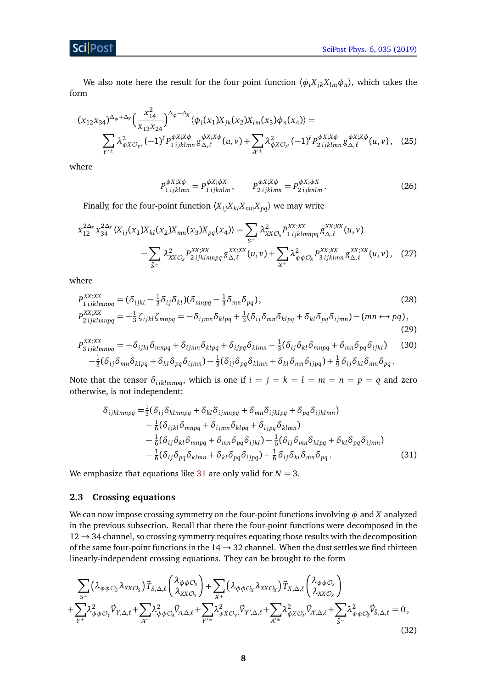#### Sci Post

We also note here the result for the four-point function  $\langle \phi_i X_{jk} X_{lm} \phi_n \rangle$ , which takes the form

$$
(x_{12}x_{34})^{\Delta_{\phi}+\Delta_{X}}\left(\frac{x_{14}^{2}}{x_{13}x_{24}}\right)^{\Delta_{\phi}-\Delta_{X}}\langle\phi_{i}(x_{1})X_{jk}(x_{2})X_{lm}(x_{3})\phi_{n}(x_{4})\rangle = \sum_{Y'^{\pm}}\lambda_{\phi X\mathcal{O}_{Y'}}^{2}\left(-1\right)^{\ell}P_{1\,ijklmn}^{\phi X;X\phi}g_{\Delta,\ell}^{\phi X;X\phi}(u,v) + \sum_{A'^{\pm}}\lambda_{\phi X\mathcal{O}_{A'}}^{2}\left(-1\right)^{\ell}P_{2\,ijklmn}^{\phi X;X\phi}g_{\Delta,\ell}^{\phi X;X\phi}(u,v),\tag{25}
$$

where

$$
P_{1\,ijklmn}^{\phi X;X\phi} = P_{1\,ijklmn}^{\phi X;\phi X}, \qquad P_{2\,ijklmn}^{\phi X;X\phi} = P_{2\,ijklmn}^{\phi X;\phi X}.
$$
\n(26)

Finally, for the four-point function  $\langle X_{ij}X_{kl}X_{mn}X_{pq}\rangle$  we may write

$$
x_{12}^{2\Delta_X} x_{34}^{2\Delta_X} \langle X_{ij}(x_1)X_{kl}(x_2)X_{mn}(x_3)X_{pq}(x_4) \rangle = \sum_{S^+} \lambda_{XX\mathcal{O}_S}^2 P_{1\,ijklmnpq}^{XX;XX} g_{\Delta,\ell}^{XX;XX}(u,v) - \sum_{\bar{S}^-} \lambda_{XX\mathcal{O}_{\bar{S}}}^2 P_{2\,ijklmnpq}^{XX;XX} g_{\Delta,\ell}^{XX;XX}(u,v) + \sum_{X^+} \lambda_{\phi\phi\mathcal{O}_X}^2 P_{3\,ijklmn}^{XX;XX} g_{\Delta,\ell}^{XX;XX}(u,v), \quad (27)
$$

where

$$
P_{1\,ijklmnpq}^{XX;XX} = (\delta_{ijkl} - \frac{1}{3}\delta_{ij}\delta_{kl})(\delta_{mnpq} - \frac{1}{3}\delta_{mn}\delta_{pq}),
$$
\n
$$
P_{2\,ijklmnpq}^{XX;XX} = -\frac{1}{3}\zeta_{ijkl}\zeta_{mnpq} = -\delta_{ijmn}\delta_{klpq} + \frac{1}{3}(\delta_{ij}\delta_{mn}\delta_{klpq} + \delta_{kl}\delta_{pq}\delta_{ijmn}) - (mn \leftrightarrow pq),
$$
\n(29)

$$
P_{3\,ijklmnpq}^{XX;XX} = -\delta_{ijkl}\delta_{mnpq} + \delta_{ijmn}\delta_{klpq} + \delta_{ijpq}\delta_{klmn} + \frac{1}{3}(\delta_{ij}\delta_{kl}\delta_{mnpq} + \delta_{mn}\delta_{pq}\delta_{ijkl})
$$
 (30)  

$$
-\frac{1}{3}(\delta_{ij}\delta_{mn}\delta_{klpq} + \delta_{kl}\delta_{pq}\delta_{ijmn}) - \frac{1}{3}(\delta_{ij}\delta_{pq}\delta_{klmn} + \delta_{kl}\delta_{mn}\delta_{ijpq}) + \frac{1}{9}\delta_{ij}\delta_{kl}\delta_{mn}\delta_{pq}.
$$

Note that the tensor  $\delta_{ijklmnpq}$ , which is one if  $i = j = k = l = m = n = p = q$  and zero otherwise, is not independent:

<span id="page-7-1"></span>
$$
\delta_{ijklmnpq} = \frac{1}{3} (\delta_{ij} \delta_{klmnpq} + \delta_{kl} \delta_{ijmnpq} + \delta_{mn} \delta_{ijklnpq} + \delta_{pq} \delta_{ijklmn})
$$
  
+ 
$$
\frac{1}{6} (\delta_{ijkl} \delta_{mnpq} + \delta_{ijmn} \delta_{klpq} + \delta_{ijpq} \delta_{klmn})
$$
  
- 
$$
\frac{1}{6} (\delta_{ij} \delta_{kl} \delta_{mnpq} + \delta_{mn} \delta_{pq} \delta_{ijkl}) - \frac{1}{6} (\delta_{ij} \delta_{mn} \delta_{klpq} + \delta_{kl} \delta_{pq} \delta_{ijmn})
$$
  
- 
$$
\frac{1}{6} (\delta_{ij} \delta_{pq} \delta_{klmn} + \delta_{kl} \delta_{pq} \delta_{ijpq}) + \frac{1}{6} \delta_{ij} \delta_{kl} \delta_{mn} \delta_{pq}.
$$
 (31)

We emphasize that equations like [31](#page-7-1) are only valid for  $N = 3$ .

#### <span id="page-7-0"></span>**2.3 Crossing equations**

We can now impose crossing symmetry on the four-point functions involving  $\phi$  and *X* analyzed in the previous subsection. Recall that there the four-point functions were decomposed in the  $12 \rightarrow 34$  channel, so crossing symmetry requires equating those results with the decomposition of the same four-point functions in the  $14 \rightarrow 32$  channel. When the dust settles we find thirteen linearly-independent crossing equations. They can be brought to the form

$$
\sum_{S^{+}} (\lambda_{\phi\phi\mathcal{O}_{S}} \lambda_{XX\mathcal{O}_{S}}) \vec{T}_{S,\Delta,\ell} \begin{pmatrix} \lambda_{\phi\phi\mathcal{O}_{S}} \\ \lambda_{XX\mathcal{O}_{S}} \end{pmatrix} + \sum_{X^{+}} (\lambda_{\phi\phi\mathcal{O}_{X}} \lambda_{XX\mathcal{O}_{X}}) \vec{T}_{X,\Delta,\ell} \begin{pmatrix} \lambda_{\phi\phi\mathcal{O}_{X}} \\ \lambda_{XX\mathcal{O}_{X}} \end{pmatrix} + \sum_{Y^{+}} \lambda_{\phi\phi\mathcal{O}_{Y}}^{2} \vec{V}_{Y,\Delta,\ell} + \sum_{Y^{+}} \lambda_{\phi X\mathcal{O}_{Y'}}^{2} \vec{V}_{Y',\Delta,\ell} + \sum_{A^{+}} \lambda_{\phi X\mathcal{O}_{A'}}^{2} \vec{V}_{A',\Delta,\ell} + \sum_{\bar{S}^{-}} \lambda_{\phi\phi\mathcal{O}_{\bar{S}}}^{2} \vec{V}_{\bar{S},\Delta,\ell} = 0, \tag{32}
$$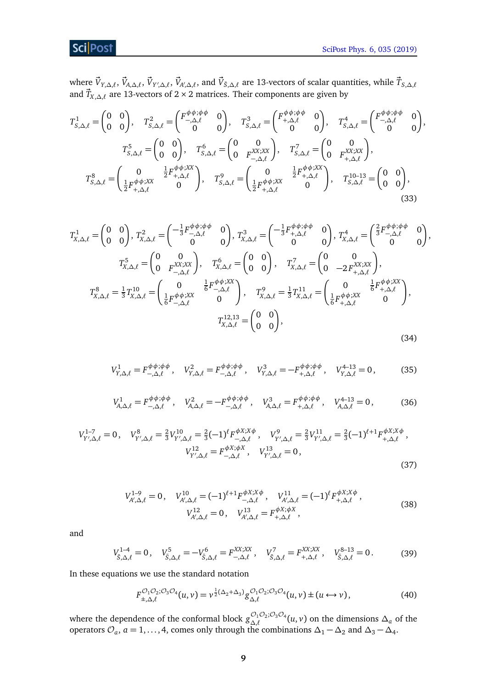## **ScilPost**

where  $\vec{V}_{Y,\Delta,\ell},\vec{V}_{A,\Delta,\ell},\vec{V}_{Y',\Delta,\ell},\vec{V}_{A',\Delta,\ell},$  and  $\vec{V}_{\bar{S},\Delta,\ell}$  are 13-vectors of scalar quantities, while  $\vec{T}_{S,\Delta,\ell}$ and *T~ <sup>X</sup>*,*∆*,*`* are 13-vectors of 2 × 2 matrices. Their components are given by

$$
T_{S,\Delta,\ell}^{1} = \begin{pmatrix} 0 & 0 \\ 0 & 0 \end{pmatrix}, \quad T_{S,\Delta,\ell}^{2} = \begin{pmatrix} F^{\phi\phi;\phi\phi} & 0 \\ -\Delta,\ell & 0 \end{pmatrix}, \quad T_{S,\Delta,\ell}^{3} = \begin{pmatrix} F^{\phi\phi;\phi\phi} & 0 \\ 0 & 0 \end{pmatrix}, \quad T_{S,\Delta,\ell}^{4} = \begin{pmatrix} F^{\phi\phi;\phi\phi} & 0 \\ 0 & 0 \end{pmatrix},
$$

$$
T_{S,\Delta,\ell}^{5} = \begin{pmatrix} 0 & 0 \\ 0 & 0 \end{pmatrix}, \quad T_{S,\Delta,\ell}^{6} = \begin{pmatrix} 0 & 0 \\ 0 & F_{-\Delta,\ell}^{XX;XX} \end{pmatrix}, \quad T_{S,\Delta,\ell}^{7} = \begin{pmatrix} 0 & 0 \\ 0 & F_{+\Delta,\ell}^{XX;XX} \end{pmatrix},
$$

$$
T_{S,\Delta,\ell}^{8} = \begin{pmatrix} 0 & \frac{1}{2}F^{\phi\phi;XX}_{+,\Delta,\ell} \\ \frac{1}{2}F_{+,\Delta,\ell}^{\phi\phi;XX} & 0 \end{pmatrix}, \quad T_{S,\Delta,\ell}^{9} = \begin{pmatrix} 0 & \frac{1}{2}F^{\phi\phi;XX}_{+,\Delta,\ell} \\ \frac{1}{2}F_{+,\Delta,\ell}^{\phi\phi;XX} & 0 \end{pmatrix}, \quad T_{S,\Delta,\ell}^{10-13} = \begin{pmatrix} 0 & 0 \\ 0 & 0 \end{pmatrix},
$$
(33)

$$
T_{X,\Delta,\ell}^{1} = \begin{pmatrix} 0 & 0 \\ 0 & 0 \end{pmatrix}, T_{X,\Delta,\ell}^{2} = \begin{pmatrix} -\frac{1}{3} F_{-, \Delta,\ell}^{\phi, \phi, \phi} & 0 \\ 0 & 0 \end{pmatrix}, T_{X,\Delta,\ell}^{3} = \begin{pmatrix} -\frac{1}{3} F_{+, \Delta,\ell}^{\phi, \phi, \phi} & 0 \\ 0 & 0 \end{pmatrix}, T_{X,\Delta,\ell}^{4} = \begin{pmatrix} \frac{2}{3} F_{-, \Delta,\ell}^{\phi, \phi, \phi} & 0 \\ 0 & 0 \end{pmatrix},
$$
  
\n
$$
T_{X,\Delta,\ell}^{5} = \begin{pmatrix} 0 & 0 \\ 0 & F_{-, \Delta,\ell}^{XX;XX} \end{pmatrix}, T_{X,\Delta,\ell}^{6} = \begin{pmatrix} 0 & 0 \\ 0 & 0 \end{pmatrix}, T_{X,\Delta,\ell}^{7} = \begin{pmatrix} 0 & 0 \\ 0 & -2F_{+, \Delta,\ell}^{XX;XX} \end{pmatrix},
$$
  
\n
$$
T_{X,\Delta,\ell}^{8} = \frac{1}{3} T_{X,\Delta,\ell}^{10} = \begin{pmatrix} 0 & \frac{1}{6} F_{-, \Delta,\ell}^{\phi, \phi, \chi X} & 0 \\ \frac{1}{6} F_{-, \Delta,\ell}^{\phi, \phi, \chi X} & 0 & 0 \end{pmatrix}, T_{X,\Delta,\ell}^{9} = \frac{1}{3} T_{X,\Delta,\ell}^{11} = \begin{pmatrix} 0 & \frac{1}{6} F_{+, \Delta,\ell}^{\phi, \phi, \chi X} \\ \frac{1}{6} F_{+, \Delta,\ell}^{\phi, \phi, \chi X} & 0 \end{pmatrix},
$$
  
\n
$$
T_{X,\Delta,\ell}^{12,13} = \begin{pmatrix} 0 & 0 \\ 0 & 0 \end{pmatrix},
$$
  
\n
$$
T_{X,\Delta,\ell}^{12,13} = \begin{pmatrix} 0 & 0 \\ 0 & 0 \end{pmatrix},
$$
  
\n(34)

$$
V_{Y,\Delta,\ell}^1 = F^{\phi\phi;\phi\phi}_{-\Delta,\ell}, \quad V_{Y,\Delta,\ell}^2 = F^{\phi\phi;\phi\phi}_{-\Delta,\ell}, \quad V_{Y,\Delta,\ell}^3 = -F^{\phi\phi;\phi\phi}_{+\Delta,\ell}, \quad V_{Y,\Delta,\ell}^{4-13} = 0, \tag{35}
$$

$$
V_{A,\Delta,\ell}^1 = F_{-,\Delta,\ell}^{\phi\phi;\phi\phi}, \quad V_{A,\Delta,\ell}^2 = -F_{-,\Delta,\ell}^{\phi\phi;\phi\phi}, \quad V_{A,\Delta,\ell}^3 = F_{+,\Delta,\ell}^{\phi\phi;\phi\phi}, \quad V_{A,\Delta,\ell}^{4-13} = 0,
$$
 (36)

$$
V_{Y',\Delta,\ell}^{1-7} = 0, \quad V_{Y',\Delta,\ell}^{8} = \frac{2}{3} V_{Y',\Delta,\ell}^{10} = \frac{2}{3} (-1)^{\ell} F_{-, \Delta,\ell}^{\phi X;X\phi} , \quad V_{Y',\Delta,\ell}^{9} = \frac{2}{3} V_{Y',\Delta,\ell}^{11} = \frac{2}{3} (-1)^{\ell+1} F_{+, \Delta,\ell}^{\phi X;X\phi} ,
$$

$$
V_{Y',\Delta,\ell}^{12} = F_{-, \Delta,\ell}^{\phi X; \phi X} , \quad V_{Y',\Delta,\ell}^{13} = 0 ,
$$
(37)

$$
V_{A',\Delta,\ell}^{1-9} = 0, \quad V_{A',\Delta,\ell}^{10} = (-1)^{\ell+1} F_{-, \Delta,\ell}^{\phi X;X\phi}, \quad V_{A',\Delta,\ell}^{11} = (-1)^{\ell} F_{+, \Delta,\ell}^{\phi X;X\phi},
$$
  

$$
V_{A',\Delta,\ell}^{12} = 0, \quad V_{A',\Delta,\ell}^{13} = F_{+, \Delta,\ell}^{\phi X; \phi X},
$$
  
(38)

and

$$
V_{\bar{S},\Delta,\ell}^{1-4} = 0, \quad V_{\bar{S},\Delta,\ell}^{5} = -V_{\bar{S},\Delta,\ell}^{6} = F_{-,\Delta,\ell}^{XX;XX}, \quad V_{\bar{S},\Delta,\ell}^{7} = F_{+,\Delta,\ell}^{XX;XX}, \quad V_{\bar{S},\Delta,\ell}^{8-13} = 0. \tag{39}
$$

In these equations we use the standard notation

$$
F_{\pm,\Delta,\ell}^{\mathcal{O}_1\mathcal{O}_2;\mathcal{O}_3\mathcal{O}_4}(u,v) = v^{\frac{1}{2}(\Delta_2+\Delta_3)} g_{\Delta,\ell}^{\mathcal{O}_1\mathcal{O}_2;\mathcal{O}_3\mathcal{O}_4}(u,v) \pm (u \leftrightarrow v), \qquad (40)
$$

where the dependence of the conformal block  $g_{\Delta\ell}^{\mathcal{O}_1\mathcal{O}_2;\mathcal{O}_3\mathcal{O}_4}$  $\Delta_{\lambda}$ ,  $\Delta_{\lambda}$  (*u*, *v*) on the dimensions  $\Delta_a$  of the operators  $\mathcal{O}_a$ ,  $a = 1, ..., 4$ , comes only through the combinations  $\Delta_1 - \Delta_2$  and  $\Delta_3 - \Delta_4$ .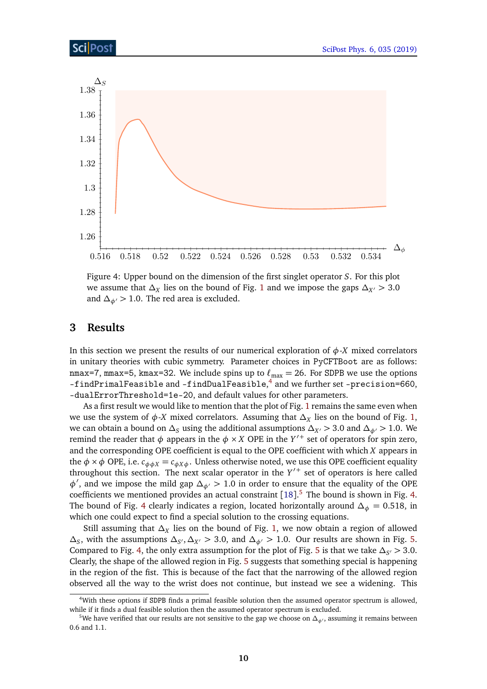<span id="page-9-3"></span>

Figure 4: Upper bound on the dimension of the first singlet operator *S*. For this plot we assume that *∆<sup>X</sup>* lies on the bound of Fig. [1](#page-2-0) and we impose the gaps *∆X*<sup>0</sup> *>* 3.0 and  $\Delta_{\phi}$  > 1.0. The red area is excluded.

### <span id="page-9-0"></span>**3 Results**

In this section we present the results of our numerical exploration of  $\phi$ -*X* mixed correlators in unitary theories with cubic symmetry. Parameter choices in PyCFTBoot are as follows: nmax=7, mmax=5, kmax=32. We include spins up to  $\ell_{\text{max}} = 26$ . For SDPB we use the options –findPrimalFeasible and –findDualFeasible, [4](#page-9-1) and we further set –precision=660, –dualErrorThreshold=1e-20, and default values for other parameters.

As a first result we would like to mention that the plot of Fig. [1](#page-2-0) remains the same even when we use the system of *φ*-*X* mixed correlators. Assuming that *∆<sup>X</sup>* lies on the bound of Fig. [1,](#page-2-0) we can obtain a bound on  $\Delta_S$  using the additional assumptions  $\Delta_{X'}$  > 3.0 and  $\Delta_{\phi'}$  > 1.0. We remind the reader that  $\phi$  appears in the  $\phi \times X$  OPE in the  $Y'^+$  set of operators for spin zero, and the corresponding OPE coefficient is equal to the OPE coefficient with which *X* appears in the  $\phi \times \phi$  OPE, i.e.  $c_{\phi \phi X} = c_{\phi X \phi}$ . Unless otherwise noted, we use this OPE coefficient equality throughout this section. The next scalar operator in the  $Y'$  set of operators is here called *φ*<sup>*'*</sup>, and we impose the mild gap *∆*<sub>*φ*</sub> *>* 1.0 in order to ensure that the equality of the OPE coefficients we mentioned provides an actual constraint  $[18]$  $[18]$  $[18]$ .<sup>[5](#page-9-2)</sup> The bound is shown in Fig. [4.](#page-9-3) The bound of Fig. [4](#page-9-3) clearly indicates a region, located horizontally around  $\Delta_{\phi} = 0.518$ , in which one could expect to find a special solution to the crossing equations.

Still assuming that *∆<sup>X</sup>* lies on the bound of Fig. [1,](#page-2-0) we now obtain a region of allowed  $\Delta$ <sub>*S*</sub>, with the assumptions  $\Delta$ <sub>*S'*</sub>,  $\Delta$ <sub>*X'*</sub> > 3.0, and  $\Delta$ <sub>*φ'*</sub> > 1.0. Our results are shown in Fig. [5.](#page-10-1) Compared to Fig. [4,](#page-9-3) the only extra assumption for the plot of Fig. [5](#page-10-1) is that we take  $\Delta_{S'}$  > 3.0. Clearly, the shape of the allowed region in Fig. [5](#page-10-1) suggests that something special is happening in the region of the fist. This is because of the fact that the narrowing of the allowed region observed all the way to the wrist does not continue, but instead we see a widening. This

<span id="page-9-1"></span><sup>4</sup>With these options if SDPB finds a primal feasible solution then the assumed operator spectrum is allowed, while if it finds a dual feasible solution then the assumed operator spectrum is excluded.

<span id="page-9-2"></span><sup>&</sup>lt;sup>5</sup>We have verified that our results are not sensitive to the gap we choose on  $\Delta_{\phi'}$ , assuming it remains between 0.6 and 1.1.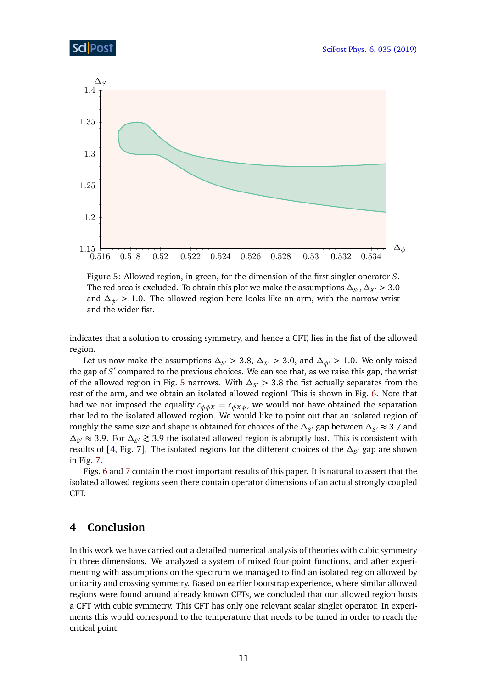<span id="page-10-1"></span>

Figure 5: Allowed region, in green, for the dimension of the first singlet operator *S*. The red area is excluded. To obtain this plot we make the assumptions  $\Delta_{S'}, \Delta_{X'}$   $>$  3.0 and  $\Delta_{\phi}$  > 1.0. The allowed region here looks like an arm, with the narrow wrist and the wider fist.

indicates that a solution to crossing symmetry, and hence a CFT, lies in the fist of the allowed region.

Let us now make the assumptions  $\Delta_{S'}$   $>$  3.8,  $\Delta_{X'}$   $>$  3.0, and  $\Delta_{\phi'}$   $>$  1.0. We only raised the gap of *S'* compared to the previous choices. We can see that, as we raise this gap, the wrist of the allowed region in Fig. [5](#page-10-1) narrows. With  $\Delta_{S'}$  > 3.8 the fist actually separates from the rest of the arm, and we obtain an isolated allowed region! This is shown in Fig. [6.](#page-11-0) Note that had we not imposed the equality  $c_{\phi\phi X} = c_{\phi X\phi}$ , we would not have obtained the separation that led to the isolated allowed region. We would like to point out that an isolated region of roughly the same size and shape is obtained for choices of the  $\Delta_{S'}$  gap between  $\Delta_{S'} \approx 3.7$  and  $\Delta_{S'}$  ≈ 3.9. For  $\Delta_{S'}$  ≥ 3.9 the isolated allowed region is abruptly lost. This is consistent with results of [[4,](#page-13-1) Fig. 7]. The isolated regions for the different choices of the *∆<sup>S</sup>* <sup>0</sup> gap are shown in Fig. [7.](#page-11-1)

Figs. [6](#page-11-0) and [7](#page-11-1) contain the most important results of this paper. It is natural to assert that the isolated allowed regions seen there contain operator dimensions of an actual strongly-coupled CFT.

## <span id="page-10-0"></span>**4 Conclusion**

In this work we have carried out a detailed numerical analysis of theories with cubic symmetry in three dimensions. We analyzed a system of mixed four-point functions, and after experimenting with assumptions on the spectrum we managed to find an isolated region allowed by unitarity and crossing symmetry. Based on earlier bootstrap experience, where similar allowed regions were found around already known CFTs, we concluded that our allowed region hosts a CFT with cubic symmetry. This CFT has only one relevant scalar singlet operator. In experiments this would correspond to the temperature that needs to be tuned in order to reach the critical point.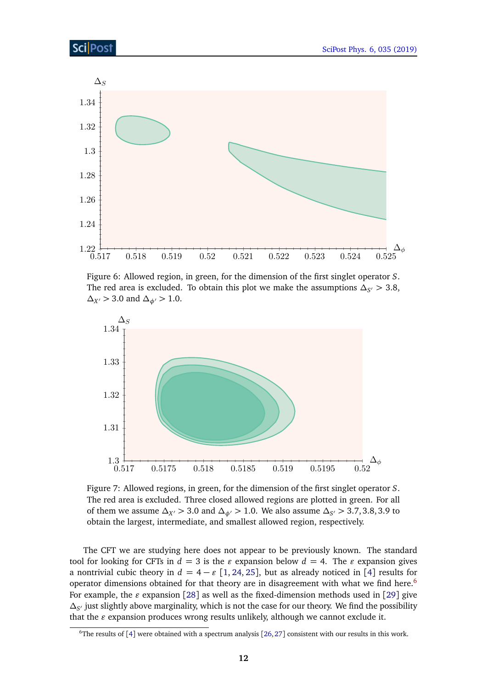<span id="page-11-0"></span>

Figure 6: Allowed region, in green, for the dimension of the first singlet operator *S*. The red area is excluded. To obtain this plot we make the assumptions  $\Delta_{S'} > 3.8$ ,  $\Delta$ *X*<sup>*(*</sup> > 3.0 and  $\Delta$ <sub>*φ*</sub> $/$  > 1.0.

<span id="page-11-1"></span>

Figure 7: Allowed regions, in green, for the dimension of the first singlet operator *S*. The red area is excluded. Three closed allowed regions are plotted in green. For all of them we assume  $\Delta_{X'} > 3.0$  and  $\Delta_{\phi'} > 1.0$ . We also assume  $\Delta_{S'} > 3.7, 3.8, 3.9$  to obtain the largest, intermediate, and smallest allowed region, respectively.

The CFT we are studying here does not appear to be previously known. The standard tool for looking for CFTs in  $d = 3$  is the  $\varepsilon$  expansion below  $d = 4$ . The  $\varepsilon$  expansion gives a nontrivial cubic theory in  $d = 4 - \varepsilon [1, 24, 25]$  $d = 4 - \varepsilon [1, 24, 25]$  $d = 4 - \varepsilon [1, 24, 25]$  $d = 4 - \varepsilon [1, 24, 25]$  $d = 4 - \varepsilon [1, 24, 25]$  $d = 4 - \varepsilon [1, 24, 25]$  $d = 4 - \varepsilon [1, 24, 25]$ , but as already noticed in [[4](#page-13-1)] results for operator dimensions obtained for that theory are in disagreement with what we find here.<sup>[6](#page-11-2)</sup> For example, the  $\varepsilon$  expansion [[28](#page-14-7)] as well as the fixed-dimension methods used in [[29](#page-14-8)] give  $\Delta_{S'}$  just slightly above marginality, which is not the case for our theory. We find the possibility that the  $\varepsilon$  expansion produces wrong results unlikely, although we cannot exclude it.

<span id="page-11-2"></span> $6$ The results of [[4](#page-13-1)] were obtained with a spectrum analysis [[26,](#page-14-9) [27](#page-14-10)] consistent with our results in this work.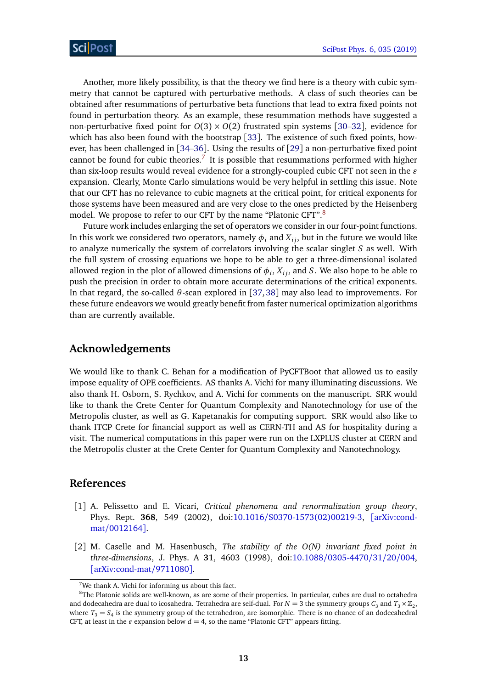Another, more likely possibility, is that the theory we find here is a theory with cubic symmetry that cannot be captured with perturbative methods. A class of such theories can be obtained after resummations of perturbative beta functions that lead to extra fixed points not found in perturbation theory. As an example, these resummation methods have suggested a non-perturbative fixed point for  $O(3) \times O(2)$  frustrated spin systems [[30–](#page-14-11)[32](#page-14-12)], evidence for which has also been found with the bootstrap [[33](#page-14-13)]. The existence of such fixed points, however, has been challenged in [[34–](#page-14-14)[36](#page-15-0)]. Using the results of [[29](#page-14-8)] a non-perturbative fixed point cannot be found for cubic theories.<sup>[7](#page-12-2)</sup> It is possible that resummations performed with higher than six-loop results would reveal evidence for a strongly-coupled cubic CFT not seen in the  $\varepsilon$ expansion. Clearly, Monte Carlo simulations would be very helpful in settling this issue. Note that our CFT has no relevance to cubic magnets at the critical point, for critical exponents for those systems have been measured and are very close to the ones predicted by the Heisenberg model. We propose to refer to our CFT by the name "Platonic CFT".<sup>[8](#page-12-3)</sup>

Future work includes enlarging the set of operators we consider in our four-point functions. In this work we considered two operators, namely  $\phi_i$  and  $X_i$ , but in the future we would like to analyze numerically the system of correlators involving the scalar singlet *S* as well. With the full system of crossing equations we hope to be able to get a three-dimensional isolated allowed region in the plot of allowed dimensions of  $\phi_i$ ,  $X_{ij}$ , and *S*. We also hope to be able to push the precision in order to obtain more accurate determinations of the critical exponents. In that regard, the so-called *θ*-scan explored in [[37,](#page-15-1) [38](#page-15-2)] may also lead to improvements. For these future endeavors we would greatly benefit from faster numerical optimization algorithms than are currently available.

#### **Acknowledgements**

We would like to thank C. Behan for a modification of PyCFTBoot that allowed us to easily impose equality of OPE coefficients. AS thanks A. Vichi for many illuminating discussions. We also thank H. Osborn, S. Rychkov, and A. Vichi for comments on the manuscript. SRK would like to thank the Crete Center for Quantum Complexity and Nanotechnology for use of the Metropolis cluster, as well as G. Kapetanakis for computing support. SRK would also like to thank ITCP Crete for financial support as well as CERN-TH and AS for hospitality during a visit. The numerical computations in this paper were run on the LXPLUS cluster at CERN and the Metropolis cluster at the Crete Center for Quantum Complexity and Nanotechnology.

#### **References**

- <span id="page-12-0"></span>[1] A. Pelissetto and E. Vicari, *Critical phenomena and renormalization group theory*, Phys. Rept. **368**, 549 (2002), doi:10.1016/[S0370-1573\(02\)00219-3,](http://dx.doi.org/10.1016/S0370-1573(02)00219-3) [[arXiv:cond](https://arxiv.org/abs/cond-mat/0012164)mat/[0012164](https://arxiv.org/abs/cond-mat/0012164)].
- <span id="page-12-1"></span>[2] M. Caselle and M. Hasenbusch, *The stability of the O(N) invariant fixed point in three-dimensions*, J. Phys. A **31**, 4603 (1998), doi:10.1088/[0305-4470](http://dx.doi.org/10.1088/0305-4470/31/20/004)/31/20/004, [[arXiv:cond-mat](https://arxiv.org/abs/cond-mat/9711080)/9711080].

<span id="page-12-3"></span><span id="page-12-2"></span> $7$ We thank A. Vichi for informing us about this fact.

<sup>&</sup>lt;sup>8</sup>The Platonic solids are well-known, as are some of their properties. In particular, cubes are dual to octahedra and dodecahedra are dual to icosahedra. Tetrahedra are self-dual. For  $N=3$  the symmetry groups  $C_3$  and  $T_3 \times \mathbb{Z}_2$ , where  $T_3 = S_4$  is the symmetry group of the tetrahedron, are isomorphic. There is no chance of an dodecahedral CFT, at least in the  $\varepsilon$  expansion below  $d = 4$ , so the name "Platonic CFT" appears fitting.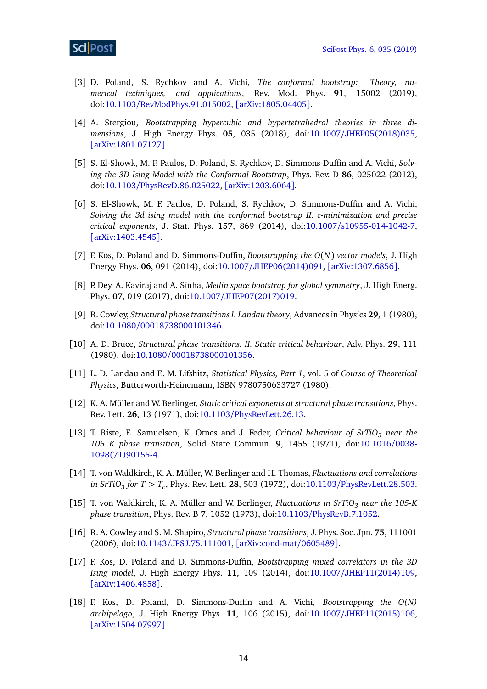- <span id="page-13-0"></span>[3] D. Poland, S. Rychkov and A. Vichi, *The conformal bootstrap: Theory, numerical techniques, and applications*, Rev. Mod. Phys. **91**, 15002 (2019), doi:10.1103/[RevModPhys.91.015002,](http://dx.doi.org/10.1103/RevModPhys.91.015002) [[arXiv:1805.04405](https://arxiv.org/abs/1805.04405)].
- <span id="page-13-1"></span>[4] A. Stergiou, *Bootstrapping hypercubic and hypertetrahedral theories in three dimensions*, J. High Energy Phys. **05**, 035 (2018), doi:10.1007/[JHEP05\(2018\)035,](http://dx.doi.org/10.1007/JHEP05(2018)035) [[arXiv:1801.07127](https://arxiv.org/abs/1801.07127)].
- <span id="page-13-2"></span>[5] S. El-Showk, M. F. Paulos, D. Poland, S. Rychkov, D. Simmons-Duffin and A. Vichi, *Solving the 3D Ising Model with the Conformal Bootstrap*, Phys. Rev. D **86**, 025022 (2012), doi:10.1103/[PhysRevD.86.025022,](http://dx.doi.org/10.1103/PhysRevD.86.025022) [[arXiv:1203.6064](https://arxiv.org/abs/1203.6064)].
- <span id="page-13-3"></span>[6] S. El-Showk, M. F. Paulos, D. Poland, S. Rychkov, D. Simmons-Duffin and A. Vichi, *Solving the 3d ising model with the conformal bootstrap II. c-minimization and precise critical exponents*, J. Stat. Phys. **157**, 869 (2014), doi:10.1007/[s10955-014-1042-7,](http://dx.doi.org/10.1007/s10955-014-1042-7) [[arXiv:1403.4545](https://arxiv.org/abs/1403.4545)].
- <span id="page-13-4"></span>[7] F. Kos, D. Poland and D. Simmons-Duffin, *Bootstrapping the O*(*N*) *vector models*, J. High Energy Phys. **06**, 091 (2014), doi:10.1007/[JHEP06\(2014\)091,](http://dx.doi.org/10.1007/JHEP06(2014)091) [[arXiv:1307.6856](https://arxiv.org/abs/1307.6856)].
- <span id="page-13-5"></span>[8] P. Dey, A. Kaviraj and A. Sinha, *Mellin space bootstrap for global symmetry*, J. High Energ. Phys. **07**, 019 (2017), doi:10.1007/[JHEP07\(2017\)019.](http://dx.doi.org/10.1007/JHEP07(2017)019)
- <span id="page-13-6"></span>[9] R. Cowley, *Structural phase transitions I. Landau theory*, Advances in Physics **29**, 1 (1980), doi:10.1080/[00018738000101346.](http://dx.doi.org/10.1080/00018738000101346)
- [10] A. D. Bruce, *Structural phase transitions. II. Static critical behaviour*, Adv. Phys. **29**, 111 (1980), doi:10.1080/[00018738000101356.](http://dx.doi.org/10.1080/00018738000101356)
- <span id="page-13-7"></span>[11] L. D. Landau and E. M. Lifshitz, *Statistical Physics, Part 1*, vol. 5 of *Course of Theoretical Physics*, Butterworth-Heinemann, ISBN 9780750633727 (1980).
- <span id="page-13-8"></span>[12] K. A. Müller and W. Berlinger, *Static critical exponents at structural phase transitions*, Phys. Rev. Lett. **26**, 13 (1971), doi:10.1103/[PhysRevLett.26.13.](http://dx.doi.org/10.1103/PhysRevLett.26.13)
- [13] T. Riste, E. Samuelsen, K. Otnes and J. Feder, *Critical behaviour of SrTiO<sup>3</sup> near the 105 K phase transition*, Solid State Commun. **9**, 1455 (1971), doi[:10.1016](http://dx.doi.org/10.1016/0038-1098(71)90155-4)/0038- [1098\(71\)90155-4.](http://dx.doi.org/10.1016/0038-1098(71)90155-4)
- <span id="page-13-12"></span>[14] T. von Waldkirch, K. A. Müller, W. Berlinger and H. Thomas, *Fluctuations and correlations in SrTiO<sup>3</sup> for T > T<sup>c</sup>* , Phys. Rev. Lett. **28**, 503 (1972), doi:10.1103/[PhysRevLett.28.503.](http://dx.doi.org/10.1103/PhysRevLett.28.503)
- [15] T. von Waldkirch, K. A. Müller and W. Berlinger, *Fluctuations in SrTiO<sup>3</sup> near the 105-K phase transition*, Phys. Rev. B **7**, 1052 (1973), doi:10.1103/[PhysRevB.7.1052.](http://dx.doi.org/10.1103/PhysRevB.7.1052)
- <span id="page-13-9"></span>[16] R. A. Cowley and S. M. Shapiro, *Structural phase transitions*, J. Phys. Soc. Jpn. **75**, 111001 (2006), doi:10.1143/[JPSJ.75.111001,](http://dx.doi.org/10.1143/JPSJ.75.111001) [[arXiv:cond-mat](https://arxiv.org/abs/cond-mat/0605489)/0605489].
- <span id="page-13-10"></span>[17] F. Kos, D. Poland and D. Simmons-Duffin, *Bootstrapping mixed correlators in the 3D Ising model*, J. High Energy Phys. **11**, 109 (2014), doi:10.1007/[JHEP11\(2014\)109,](http://dx.doi.org/10.1007/JHEP11(2014)109) [[arXiv:1406.4858](https://arxiv.org/abs/1406.4858)].
- <span id="page-13-11"></span>[18] F. Kos, D. Poland, D. Simmons-Duffin and A. Vichi, *Bootstrapping the O(N) archipelago*, J. High Energy Phys. **11**, 106 (2015), doi:10.1007/[JHEP11\(2015\)106,](http://dx.doi.org/10.1007/JHEP11(2015)106) [[arXiv:1504.07997](https://arxiv.org/abs/1504.07997)].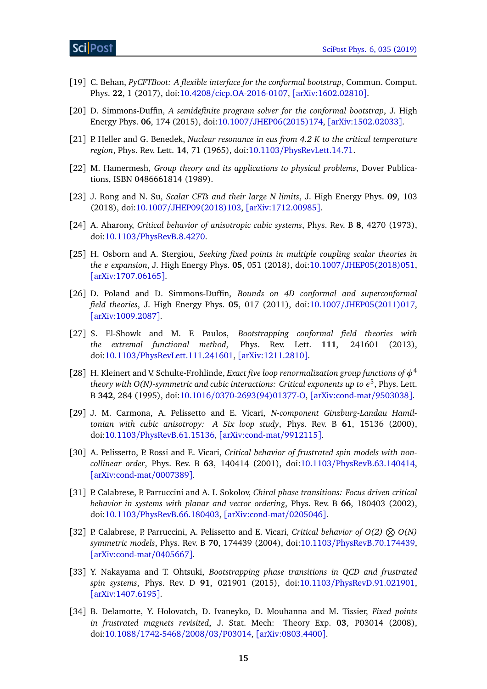- <span id="page-14-0"></span>[19] C. Behan, *PyCFTBoot: A flexible interface for the conformal bootstrap*, Commun. Comput. Phys. **22**, 1 (2017), doi:10.4208/[cicp.OA-2016-0107,](http://dx.doi.org/10.4208/cicp.OA-2016-0107) [[arXiv:1602.02810](https://arxiv.org/abs/1602.02810)].
- <span id="page-14-1"></span>[20] D. Simmons-Duffin, *A semidefinite program solver for the conformal bootstrap*, J. High Energy Phys. **06**, 174 (2015), doi:10.1007/[JHEP06\(2015\)174,](http://dx.doi.org/10.1007/JHEP06(2015)174) [[arXiv:1502.02033](https://arxiv.org/abs/1502.02033)].
- <span id="page-14-2"></span>[21] P. Heller and G. Benedek, *Nuclear resonance in eus from 4.2 K to the critical temperature region*, Phys. Rev. Lett. **14**, 71 (1965), doi:10.1103/[PhysRevLett.14.71.](http://dx.doi.org/10.1103/PhysRevLett.14.71)
- <span id="page-14-3"></span>[22] M. Hamermesh, *Group theory and its applications to physical problems*, Dover Publications, ISBN 0486661814 (1989).
- <span id="page-14-4"></span>[23] J. Rong and N. Su, *Scalar CFTs and their large N limits*, J. High Energy Phys. **09**, 103 (2018), doi:10.1007/[JHEP09\(2018\)103,](http://dx.doi.org/10.1007/JHEP09(2018)103) [[arXiv:1712.00985](https://arxiv.org/abs/1712.00985)].
- <span id="page-14-5"></span>[24] A. Aharony, *Critical behavior of anisotropic cubic systems*, Phys. Rev. B **8**, 4270 (1973), doi:10.1103/[PhysRevB.8.4270.](http://dx.doi.org/10.1103/PhysRevB.8.4270)
- <span id="page-14-6"></span>[25] H. Osborn and A. Stergiou, *Seeking fixed points in multiple coupling scalar theories in the ε expansion*, *J.* High Energy Phys. 05, 051 (2018), doi:10.1007/[JHEP05\(2018\)051,](http://dx.doi.org/10.1007/JHEP05(2018)051) [[arXiv:1707.06165](https://arxiv.org/abs/1707.06165)].
- <span id="page-14-9"></span>[26] D. Poland and D. Simmons-Duffin, *Bounds on 4D conformal and superconformal field theories*, J. High Energy Phys. **05**, 017 (2011), doi:10.1007/[JHEP05\(2011\)017,](http://dx.doi.org/10.1007/JHEP05(2011)017) [[arXiv:1009.2087](https://arxiv.org/abs/1009.2087)].
- <span id="page-14-10"></span>[27] S. El-Showk and M. F. Paulos, *Bootstrapping conformal field theories with the extremal functional method*, Phys. Rev. Lett. **111**, 241601 (2013), doi:10.1103/[PhysRevLett.111.241601,](http://dx.doi.org/10.1103/PhysRevLett.111.241601) [[arXiv:1211.2810](https://arxiv.org/abs/1211.2810)].
- <span id="page-14-7"></span>[28] H. Kleinert and V. Schulte-Frohlinde, *Exact five loop renormalization group functions of φ* 4 theory with O(N)-symmetric and cubic interactions: Critical exponents up to  $\epsilon^5$ , Phys. Lett. B **342**, 284 (1995), doi:10.1016/[0370-2693\(94\)01377-O,](http://dx.doi.org/10.1016/0370-2693(94)01377-O) [[arXiv:cond-mat](https://arxiv.org/abs/cond-mat/9503038)/9503038].
- <span id="page-14-8"></span>[29] J. M. Carmona, A. Pelissetto and E. Vicari, *N-component Ginzburg-Landau Hamiltonian with cubic anisotropy: A Six loop study*, Phys. Rev. B **61**, 15136 (2000), doi:10.1103/[PhysRevB.61.15136,](http://dx.doi.org/10.1103/PhysRevB.61.15136) [[arXiv:cond-mat](https://arxiv.org/abs/cond-mat/9912115)/9912115].
- <span id="page-14-11"></span>[30] A. Pelissetto, P. Rossi and E. Vicari, *Critical behavior of frustrated spin models with noncollinear order*, Phys. Rev. B **63**, 140414 (2001), doi:10.1103/[PhysRevB.63.140414,](http://dx.doi.org/10.1103/PhysRevB.63.140414) [[arXiv:cond-mat](https://arxiv.org/abs/cond-mat/0007389)/0007389].
- [31] P. Calabrese, P. Parruccini and A. I. Sokolov, *Chiral phase transitions: Focus driven critical behavior in systems with planar and vector ordering*, Phys. Rev. B **66**, 180403 (2002), doi:10.1103/[PhysRevB.66.180403,](http://dx.doi.org/10.1103/PhysRevB.66.180403) [[arXiv:cond-mat](https://arxiv.org/abs/cond-mat/0205046)/0205046].
- <span id="page-14-12"></span>[32] P. Calabrese, P. Parruccini, A. Pelissetto and E. Vicari, *Critical behavior of*  $O(2)$  $\otimes$  $O(N)$ *symmetric models*, Phys. Rev. B **70**, 174439 (2004), doi:10.1103/[PhysRevB.70.174439,](http://dx.doi.org/10.1103/PhysRevB.70.174439) [[arXiv:cond-mat](https://arxiv.org/abs/cond-mat/0405667)/0405667].
- <span id="page-14-13"></span>[33] Y. Nakayama and T. Ohtsuki, *Bootstrapping phase transitions in QCD and frustrated spin systems*, Phys. Rev. D **91**, 021901 (2015), doi:10.1103/[PhysRevD.91.021901,](http://dx.doi.org/10.1103/PhysRevD.91.021901) [[arXiv:1407.6195](https://arxiv.org/abs/1407.6195)].
- <span id="page-14-14"></span>[34] B. Delamotte, Y. Holovatch, D. Ivaneyko, D. Mouhanna and M. Tissier, *Fixed points in frustrated magnets revisited*, J. Stat. Mech: Theory Exp. **03**, P03014 (2008), doi:10.1088/[1742-5468](http://dx.doi.org/10.1088/1742-5468/2008/03/P03014)/2008/03/P03014, [[arXiv:0803.4400](https://arxiv.org/abs/0803.4400)].